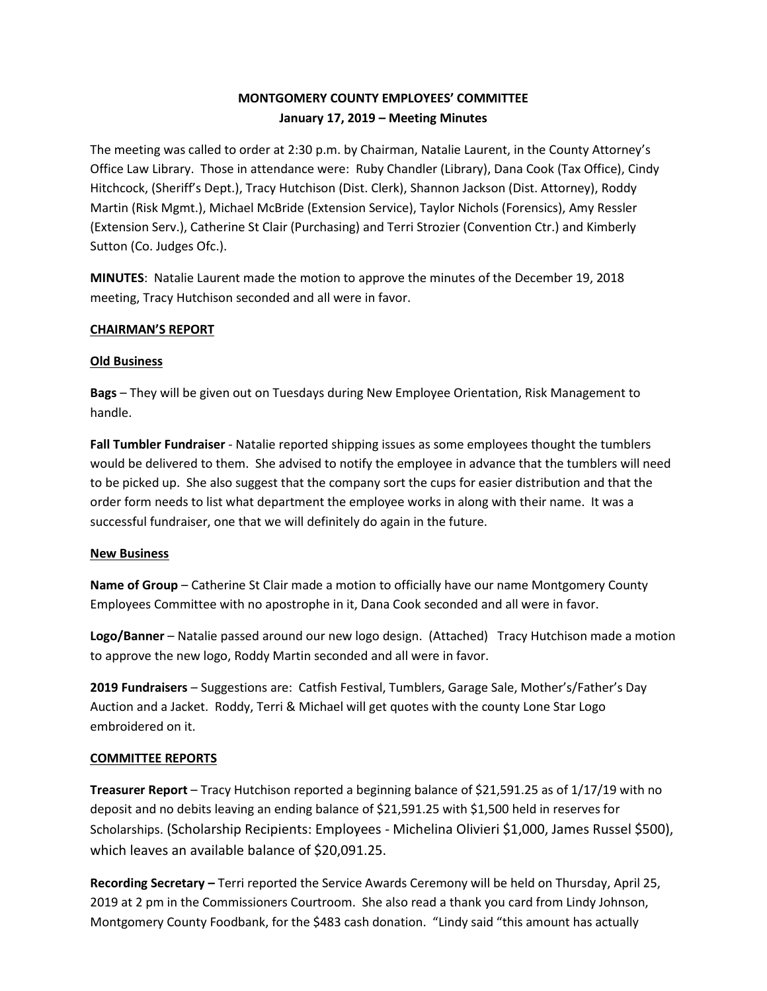# **MONTGOMERY COUNTY EMPLOYEES' COMMITTEE January 17, 2019 – Meeting Minutes**

The meeting was called to order at 2:30 p.m. by Chairman, Natalie Laurent, in the County Attorney's Office Law Library. Those in attendance were: Ruby Chandler (Library), Dana Cook (Tax Office), Cindy Hitchcock, (Sheriff's Dept.), Tracy Hutchison (Dist. Clerk), Shannon Jackson (Dist. Attorney), Roddy Martin (Risk Mgmt.), Michael McBride (Extension Service), Taylor Nichols (Forensics), Amy Ressler (Extension Serv.), Catherine St Clair (Purchasing) and Terri Strozier (Convention Ctr.) and Kimberly Sutton (Co. Judges Ofc.).

**MINUTES**: Natalie Laurent made the motion to approve the minutes of the December 19, 2018 meeting, Tracy Hutchison seconded and all were in favor.

### **CHAIRMAN'S REPORT**

### **Old Business**

**Bags** – They will be given out on Tuesdays during New Employee Orientation, Risk Management to handle.

**Fall Tumbler Fundraiser** - Natalie reported shipping issues as some employees thought the tumblers would be delivered to them. She advised to notify the employee in advance that the tumblers will need to be picked up. She also suggest that the company sort the cups for easier distribution and that the order form needs to list what department the employee works in along with their name. It was a successful fundraiser, one that we will definitely do again in the future.

#### **New Business**

**Name of Group** – Catherine St Clair made a motion to officially have our name Montgomery County Employees Committee with no apostrophe in it, Dana Cook seconded and all were in favor.

**Logo/Banner** – Natalie passed around our new logo design. (Attached) Tracy Hutchison made a motion to approve the new logo, Roddy Martin seconded and all were in favor.

**2019 Fundraisers** – Suggestions are: Catfish Festival, Tumblers, Garage Sale, Mother's/Father's Day Auction and a Jacket. Roddy, Terri & Michael will get quotes with the county Lone Star Logo embroidered on it.

## **COMMITTEE REPORTS**

**Treasurer Report** – Tracy Hutchison reported a beginning balance of \$21,591.25 as of 1/17/19 with no deposit and no debits leaving an ending balance of \$21,591.25 with \$1,500 held in reserves for Scholarships. (Scholarship Recipients: Employees - Michelina Olivieri \$1,000, James Russel \$500), which leaves an available balance of \$20,091.25.

**Recording Secretary –** Terri reported the Service Awards Ceremony will be held on Thursday, April 25, 2019 at 2 pm in the Commissioners Courtroom. She also read a thank you card from Lindy Johnson, Montgomery County Foodbank, for the \$483 cash donation. "Lindy said "this amount has actually